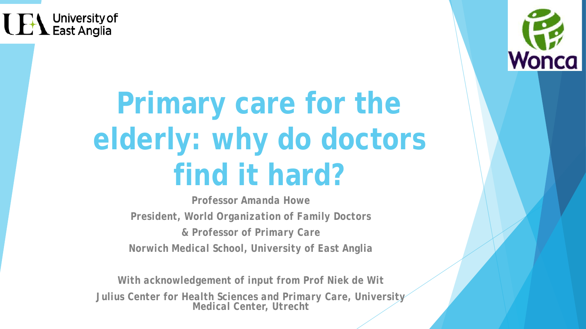

# **Primary care for the elderly: why do doctors find it hard?**

*Professor Amanda Howe President, World Organization of Family Doctors & Professor of Primary Care Norwich Medical School, University of East Anglia*

*With acknowledgement of input from Prof Niek de Wit Julius Center for Health Sciences and Primary Care, University Medical Center, Utrecht*

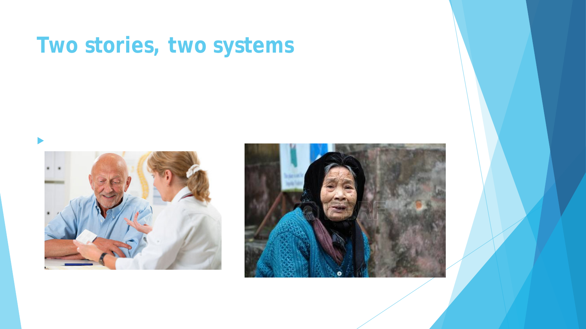# **Two stories, two systems**



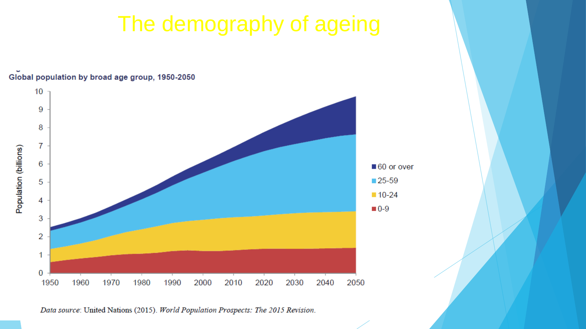### The demography of ageing



Data source: United Nations (2015). World Population Prospects: The 2015 Revision.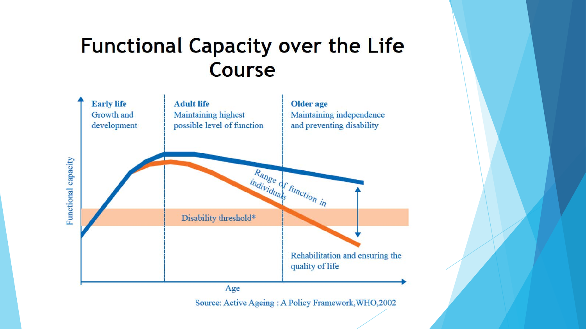#### **Functional Capacity over the Life** Course



Source: Active Ageing : A Policy Framework, WHO, 2002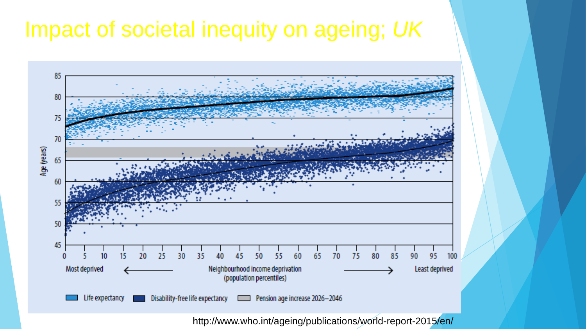#### Impact of societal inequity on ageing; *UK*



http://www.who.int/ageing/publications/world-report-2015/en/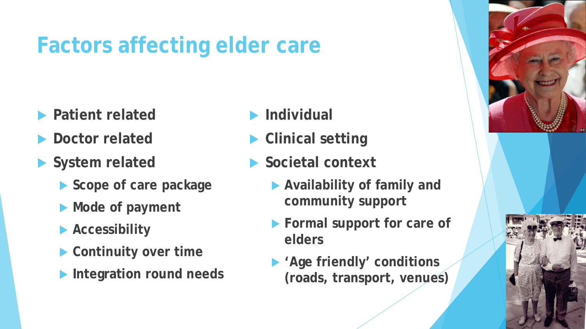# **Factors affecting elder care**

- **Patient related**
- **Doctor related**
- **System related**
	- **Scope of care package**
	- **Mode of payment**
	- **Accessibility**
	- **Continuity over time**
	- **Integration round needs**
- **Individual**
- **Clinical setting**
- **Societal context**
	- **Availability of family and community support**
	- **Formal support for care of elders**
	- **'Age friendly' conditions (roads, transport, venues)**

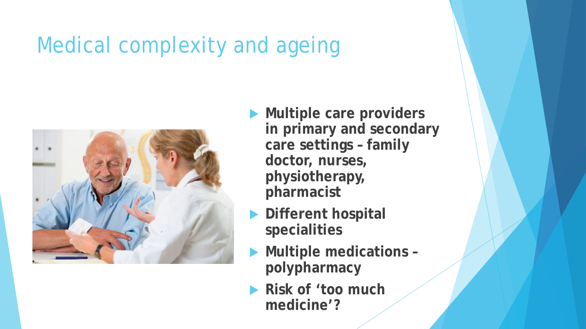### Medical complexity and ageing



- **Multiple care providers in primary and secondary care settings – family doctor, nurses, physiotherapy, pharmacist**
- **Different hospital specialities**
- **Multiple medications – polypharmacy**
- **Risk of 'too much medicine'?**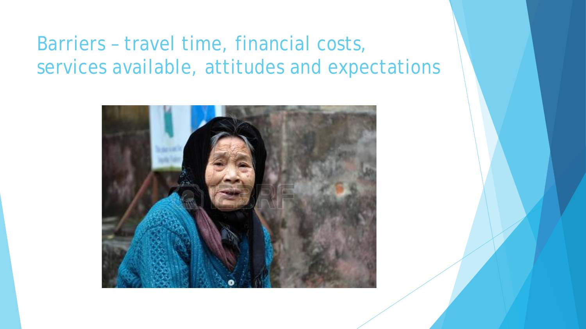#### Barriers – travel time, financial costs, services available, attitudes and expectations

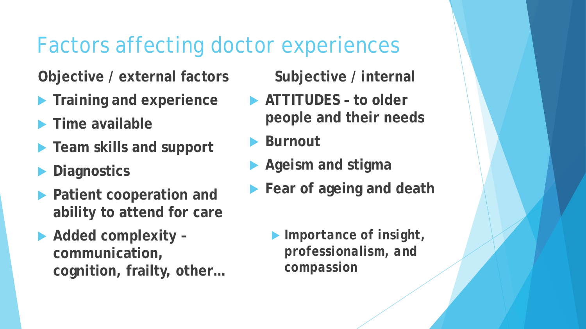#### Factors affecting doctor experiences

**Objective / external factors**

- **Training and experience**
- **Time available**
- **Team skills and support**
- **Diagnostics**
- **Patient cooperation and ability to attend for care**
- **Added complexity – communication, cognition, frailty, other…**

**Subjective / internal**

- **ATTITUDES – to older people and their needs**
	- **Burnout**
- **Ageism and stigma**
- **Fear of ageing and death**
	- *Importance of insight, professionalism, and compassion*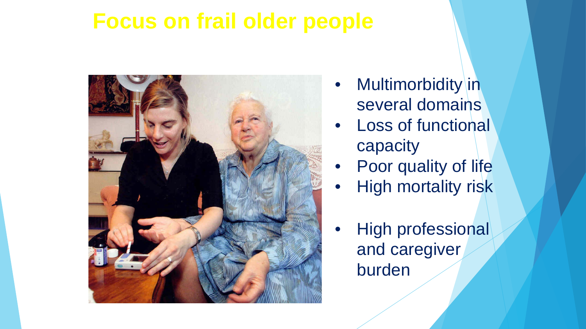### **Focus on frail older people**



- **Multimorbidity** in several domains
- Loss of functional capacity
- Poor quality of life
- High mortality risk
- **High professional** and caregiver burden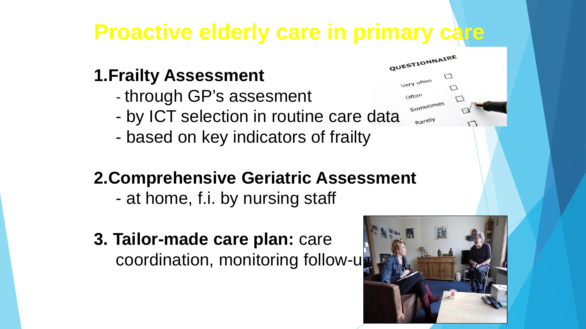#### **Proactive elderly care in primary care**

#### **1.Frailty Assessment**

- through GP's assesment
- sometimes - by ICT selection in routine care data
- based on key indicators of frailty

#### **2.Comprehensive Geriatric Assessment**

- at home, f.i. by nursing staff
- **3. Tailor-made care plan:** care coordination, monitoring follow-up



QUESTIONNAIRE

Rarely

often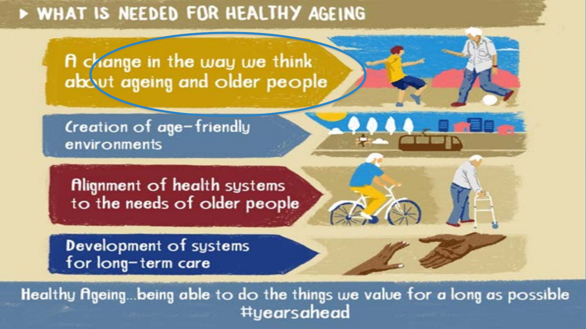#### > WHAT IS NEEDED FOR HEALTHY AGEING

A change in the way we think about ageing and older people

Creation of age-friendly environments

**Alignment of health systems** to the needs of older people

**Development of systems** for long-term care

Healthy Ageing. being able to do the things we value for a long as possible #yearsahead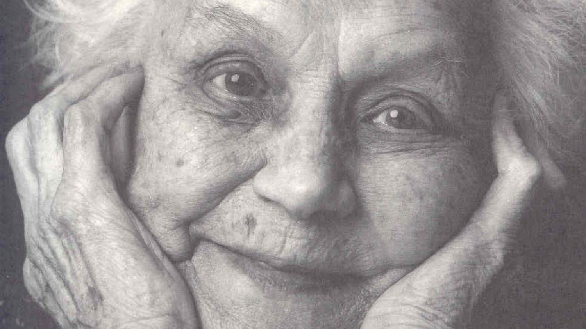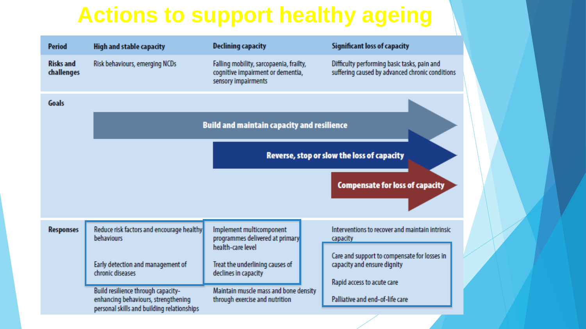# **Actions to support healthy ageing**

| <b>Period</b>                  | <b>High and stable capacity</b>                                                                                                                                                                                                             | <b>Declining capacity</b>                                                                                                                                                                                              | <b>Significant loss of capacity</b>                                                                                                                                                                         |
|--------------------------------|---------------------------------------------------------------------------------------------------------------------------------------------------------------------------------------------------------------------------------------------|------------------------------------------------------------------------------------------------------------------------------------------------------------------------------------------------------------------------|-------------------------------------------------------------------------------------------------------------------------------------------------------------------------------------------------------------|
| <b>Risks and</b><br>challenges | Risk behaviours, emerging NCDs                                                                                                                                                                                                              | Falling mobility, sarcopaenia, frailty,<br>cognitive impairment or dementia,<br>sensory impairments                                                                                                                    | Difficulty performing basic tasks, pain and<br>suffering caused by advanced chronic conditions                                                                                                              |
| Goals                          |                                                                                                                                                                                                                                             | <b>Build and maintain capacity and resilience</b>                                                                                                                                                                      | Reverse, stop or slow the loss of capacity<br><b>Compensate for loss of capacity</b>                                                                                                                        |
| <b>Responses</b>               | Reduce risk factors and encourage healthy<br>behaviours<br>Early detection and management of<br>chronic diseases<br>Build resilience through capacity-<br>enhancing behaviours, strengthening<br>personal skills and building relationships | Implement multicomponent<br>programmes delivered at primary<br>health-care level<br>Treat the underlining causes of<br>declines in capacity<br>Maintain muscle mass and bone density<br>through exercise and nutrition | Interventions to recover and maintain intrinsic<br>capacity<br>Care and support to compensate for losses in<br>capacity and ensure dignity<br>Rapid access to acute care<br>Palliative and end-of-life care |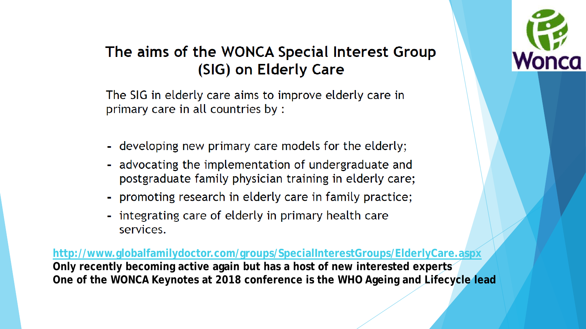#### The aims of the WONCA Special Interest Group (SIG) on Elderly Care

The SIG in elderly care aims to improve elderly care in primary care in all countries by :

- developing new primary care models for the elderly;
- advocating the implementation of undergraduate and postgraduate family physician training in elderly care;
- promoting research in elderly care in family practice;
- integrating care of elderly in primary health care services.

http://www.globalfamilydoctor.com/groups/SpecialInterestGroups/ElderlyCare.aspx Only recently becoming active again but has a host of new interested experts One of the WONCA Keynotes at 2018 conference is the WHO Ageing and Lifecycle lead